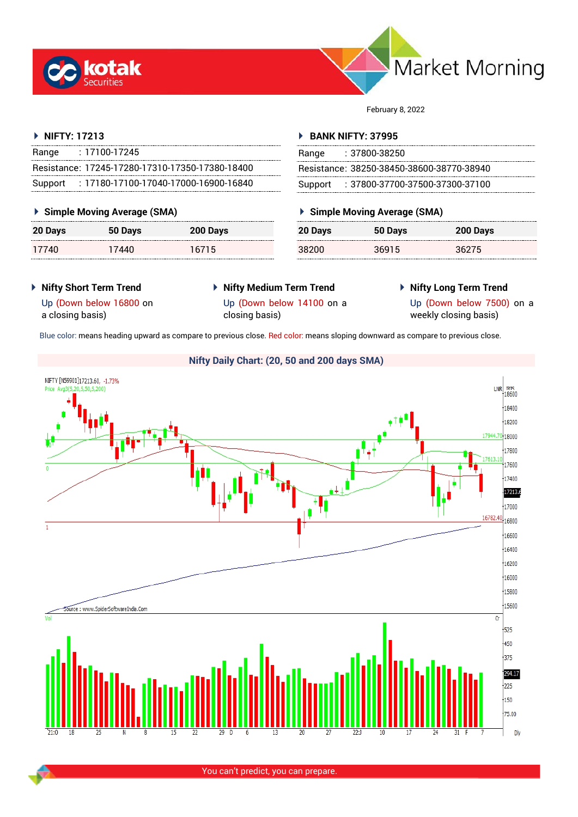



February 8, 2022

# **NIFTY: 17213**

| Range   | $: 17100 - 17245$                                 |  |
|---------|---------------------------------------------------|--|
|         | Resistance: 17245-17280-17310-17350-17380-18400   |  |
| Support | $: 17180 - 17100 - 17040 - 17000 - 16900 - 16840$ |  |

# **Simple Moving Average (SMA)**

| 20 Days | 50 Days | 200 Days |
|---------|---------|----------|
| 17740   | 17440   | 16715    |

## **BANK NIFTY: 37995**

| Range | : 37800-38250                             |
|-------|-------------------------------------------|
|       | Resistance: 38250-38450-38600-38770-38940 |
|       | Support : 37800-37700-37500-37300-37100   |

# **Simple Moving Average (SMA)**

| 20 Days | 50 Days | 200 Days |
|---------|---------|----------|
| 38200   | 36915   | 36275    |

- **Nifty Short Term Trend**
- **Nifty Medium Term Trend**
- **Nifty Long Term Trend**

Up (Down below 16800 on a closing basis)

Up (Down below 14100 on a

closing basis)

Up (Down below 7500) on a weekly closing basis)

Blue color: means heading upward as compare to previous close. Red color: means sloping downward as compare to previous close.

# **Nifty Daily Chart: (20, 50 and 200 days SMA)**NIFTY [N59901]17213.60, -1.73%  $LNR$ <sub>18600</sub> Drica Ava20 18400  $18200$  $\frac{1}{18000}$ 17800 17600 17400  $17213.6$ 17000 16782.40  $,16800$  $\overline{1}$  $16600$ 16400 16200  $\frac{1}{16000}$  $15800$  $15600$ Source : www.SpiderSoftwareIndia.Com  $\overline{\text{Cr}}$  $+525$  $+450$  $+375$ 294.17  $1225$  $\frac{1}{150}$  $75.00$ Dly

You can't predict, you can prepare.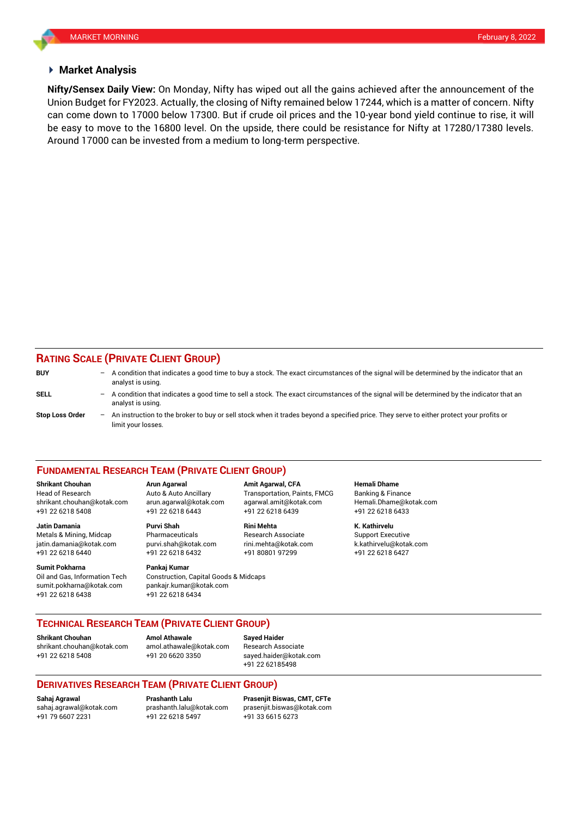## **Market Analysis**

Union Budget for FY2023. Actually, the closing of Nifty remained below 17244, which is a matter of concern. Nifty be easy to move to the 16800 level. On the upside, there could be resistance for Nifty at 17280/17380 levels. **Nifty/Sensex Daily View:** On Monday, Nifty has wiped out all the gains achieved after the announcement of the can come down to 17000 below 17300. But if crude oil prices and the 10-year bond yield continue to rise, it will Around 17000 can be invested from a medium to long-term perspective.

# **RATING SCALE (PRIVATE CLIENT GROUP)**

| <b>BUY</b>             | $-$ | A condition that indicates a good time to buy a stock. The exact circumstances of the signal will be determined by the indicator that an<br>analyst is using.  |
|------------------------|-----|----------------------------------------------------------------------------------------------------------------------------------------------------------------|
| <b>SELL</b>            | $-$ | A condition that indicates a good time to sell a stock. The exact circumstances of the signal will be determined by the indicator that an<br>analyst is using. |
| <b>Stop Loss Order</b> | $-$ | An instruction to the broker to buy or sell stock when it trades beyond a specified price. They serve to either protect your profits or<br>limit your losses.  |

### **FUNDAMENTAL RESEARCH TEAM (PRIVATE CLIENT GROUP)**

Head of Research Auto & Auto Ancillary Transportation, Paints, FMCG Banking & Finance [shrikant.chouhan@kotak.com](mailto:shrikant.chouhan@kotak.com) arun.agarwal@kotak.com agarwal.amit@kotak.com Hemali.Dhame@kotak.com

**Jatin Damania Purvi Shah Rini Mehta K. Kathirvelu** Metals & Mining, Midcap Pharmaceuticals Research Associate Support Executive Research Associate jatin.damania@kotak.com [purvi.shah@kotak.com](mailto:purvi.shah@kotak.com) rini.mehta@kotak.com [k.kathirvelu@kotak.com](mailto:k.kathirvelu@kotak.com) +91 22 6218 6440 +91 22 6218 6432 +91 80801 97299 +91 22 6218 6427

**Sumit Pokharna** Pankaj Kumar Oil and Gas, Information Tech Construction, Capital Goods & Midcaps sumit.pokharna@kotak.com pankajr.kumar@kotak.com +91 22 6218 6438 +91 22 6218 6434

+91 22 6218 5408 +91 22 6218 6443 +91 22 6218 6439 +91 22 6218 6433

**Shrikant Chouhan Arun Agarwal Amit Agarwal, CFA Hemali Dhame**

**TECHNICAL RESEARCH TEAM (PRIVATE CLIENT GROUP)** 

**Shrikant Chouhan Amol Athawale Sayed Haider**

[shrikant.chouhan@kotak.com](mailto:shrikant.chouhan@kotak.com) [amol.athawale@kotak.com](mailto:amol.athawale@kotak.com) Research Associate +91 22 6218 5408 +91 20 6620 3350 [sayed.haider@kotak.com](mailto:sayed.haider@kotak.com)

+91 22 62185498

## **DERIVATIVES RESEARCH TEAM (PRIVATE CLIENT GROUP)**

+91 22 6218 5497 +91 33 6615 6273

**Sahaj Agrawal Prashanth Lalu Prasenjit Biswas, CMT, CFTe** [sahaj.agrawal@kotak.com](mailto:sahaj.agrawal@kotak.com) [prashanth.lalu@kotak.com](mailto:prashanth.lalu@kotak.com) [prasenjit.biswas@kotak.com](mailto:prasenjit.biswas@kotak.com)